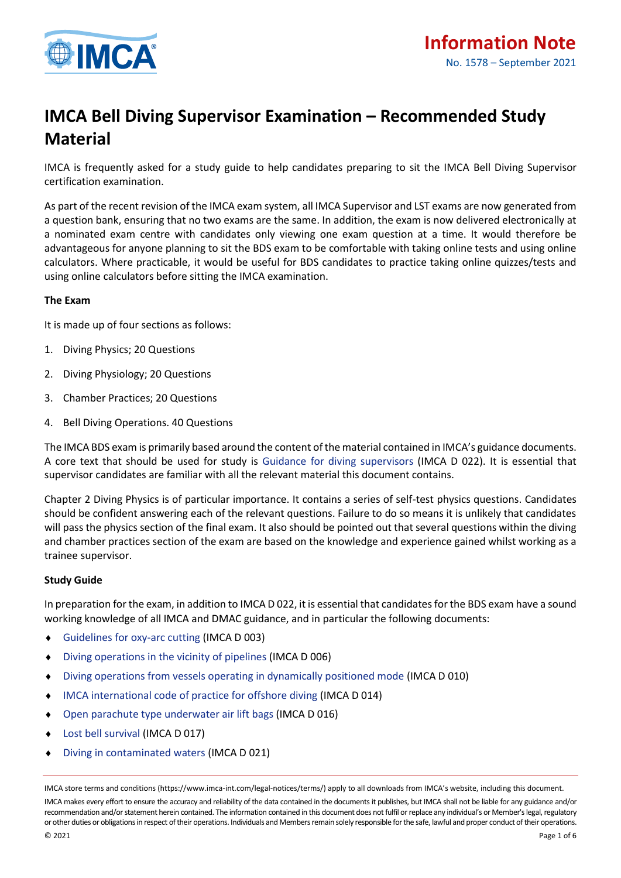

# **IMCA Bell Diving Supervisor Examination – Recommended Study Material**

IMCA is frequently asked for a study guide to help candidates preparing to sit the IMCA Bell Diving Supervisor certification examination.

As part of the recent revision of the IMCA exam system, all IMCA Supervisor and LST exams are now generated from a question bank, ensuring that no two exams are the same. In addition, the exam is now delivered electronically at a nominated exam centre with candidates only viewing one exam question at a time. It would therefore be advantageous for anyone planning to sit the BDS exam to be comfortable with taking online tests and using online calculators. Where practicable, it would be useful for BDS candidates to practice taking online quizzes/tests and using online calculators before sitting the IMCA examination.

# **The Exam**

It is made up of four sections as follows:

- 1. Diving Physics; 20 Questions
- 2. Diving Physiology; 20 Questions
- 3. Chamber Practices; 20 Questions
- 4. Bell Diving Operations. 40 Questions

The IMCA BDS exam is primarily based around the content of the material contained in IMCA's guidance documents. A core text that should be used for study is [Guidance for diving supervisors](https://www.imca-int.com/publications/155/guidance-for-diving-supervisors/) (IMCA D 022). It is essential that supervisor candidates are familiar with all the relevant material this document contains.

Chapter 2 Diving Physics is of particular importance. It contains a series of self-test physics questions. Candidates should be confident answering each of the relevant questions. Failure to do so means it is unlikely that candidates will pass the physics section of the final exam. It also should be pointed out that several questions within the diving and chamber practices section of the exam are based on the knowledge and experience gained whilst working as a trainee supervisor.

# **Study Guide**

In preparation for the exam, in addition to IMCA D 022, it is essential that candidates for the BDS exam have a sound working knowledge of all IMCA and DMAC guidance, and in particular the following documents:

- [Guidelines for oxy-arc cutting](https://www.imca-int.com/publications/93/guidelines-for-oxy-arc-cutting/) (IMCA D 003)
- [Diving operations in the vicinity of pipelines](https://www.imca-int.com/publications/107/guidance-on-diving-operations-in-the-vicinity-of-pipelines/) (IMCA D 006)
- [Diving operations from vessels operating in dynamically positioned mode](https://www.imca-int.com/publications/104/diving-operations-from-vessels-operating-in-dynamically-positioned-mode/) (IMCA D 010)
- [IMCA international code of practice for offshore diving](https://www.imca-int.com/publications/120/imca-international-code-of-practice-for-offshore-diving/) (IMCA D 014)
- [Open parachute type underwater air lift bags](https://www.imca-int.com/publications/129/guidance-on-open-parachute-type-underwater-air-lift-bags/) (IMCA D 016)
- ◆ [Lost bell survival](https://www.imca-int.com/publications/128/lost-bell-survival/) (IMCA D 017)
- [Diving in contaminated waters](https://www.imca-int.com/publications/146/diving-in-contaminated-waters/) (IMCA D 021)

IMCA store terms and conditions (https://www.imca-int.com/legal-notices/terms/) apply to all downloads from IMCA's website, including this document. IMCA makes every effort to ensure the accuracy and reliability of the data contained in the documents it publishes, but IMCA shall not be liable for any guidance and/or recommendation and/or statement herein contained. The information contained in this document does not fulfil or replace any individual's or Member's legal, regulatory or other duties or obligations in respect of their operations. Individuals and Members remain solely responsible for the safe, lawful and proper conduct of their operations.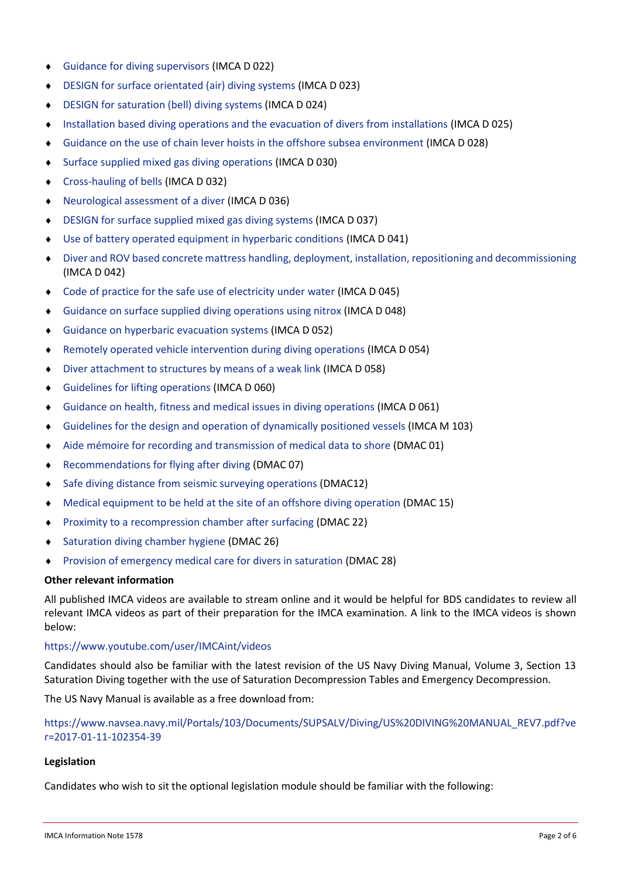- [Guidance for diving supervisors](https://www.imca-int.com/publications/155/guidance-for-diving-supervisors/) (IMCA D 022)
- [DESIGN for surface orientated \(air\) diving systems](https://www.imca-int.com/publications/152/diving-equipment-systems-inspection-guidance-note-design-for-surface-orientated-air-diving-systems/) (IMCA D 023)
- [DESIGN for saturation \(bell\) diving systems](https://www.imca-int.com/publications/169/design-for-saturation-bell-diving-systems/) (IMCA D 024)
- [Installation based diving operations and the evacuation of divers from installations](https://www.imca-int.com/publications/167/guidance-on-installation-based-diving-operations-and-the-evacuation-of-divers-from-installations/) (IMCA D 025)
- [Guidance on the use of chain lever hoists in the offshore subsea environment](https://www.imca-int.com/publications/262/guidance-on-the-use-of-chain-lever-hoists-in-the-offshore-subsea-environment/) (IMCA D 028)
- [Surface supplied mixed gas diving operations](https://www.imca-int.com/publications/189/surface-supplied-mixed-gas-diving-operations/) (IMCA D 030)
- [Cross-hauling of bells](https://www.imca-int.com/publications/190/cross-hauling-of-bells/) (IMCA D 032)
- [Neurological assessment of a diver](https://www.imca-int.com/publications/219/neurological-assessment-of-a-diver/) (IMCA D 036)
- [DESIGN for surface supplied mixed gas diving systems](https://www.imca-int.com/publications/231/design-for-surface-supplied-mixed-gas-diving-systems/) (IMCA D 037)
- [Use of battery operated equipment in hyperbaric conditions](https://www.imca-int.com/publications/244/use-of-battery-operated-equipment-in-hyperbaric-conditions-2/) (IMCA D 041)
- [Diver and ROV based concrete mattress handling, deployment, installation, repositioning and decommissioning](https://www.imca-int.com/publications/257/diver-and-rov-based-concrete-mattress-handling-deployment-installation-repositioning-and-decommissioning/) (IMCA D 042)
- [Code of practice for the safe use of electricity under water](https://www.imca-int.com/publications/295/code-of-practice-for-the-safe-use-of-electricity-under-water/) (IMCA D 045)
- [Guidance on surface supplied diving operations using nitrox](https://www.imca-int.com/publications/319/surface-supplied-diving-operations-using-nitrox/) (IMCA D 048)
- [Guidance on hyperbaric evacuation systems](https://www.imca-int.com/publications/341/guidance-on-hyperbaric-evacuation-systems/) (IMCA D 052)
- [Remotely operated vehicle intervention during diving operations](https://www.imca-int.com/publications/352/remotely-operated-vehicle-intervention-during-diving-operations-2/) (IMCA D 054)
- [Diver attachment to structures by means of a weak link](https://www.imca-int.com/publications/380/diver-attachment-to-structures-by-means-of-a-weak-link-2/) (IMCA D 058)
- [Guidelines for lifting operations](https://www.imca-int.com/publications/254/guidelines-for-lifting-operations/) (IMCA D 060)
- [Guidance on health, fitness and medical issues in diving operations](https://www.imca-int.com/publications/451/guidance-on-health-fitness-and-medical-issues-in-diving-operations/) (IMCA D 061)
- [Guidelines for the design and operation of dynamically positioned vessels](https://www.imca-int.com/publications/57/guidelines-for-the-design-and-operation-of-dynamically-positioned-vessels/) (IMCA M 103)
- [Aide mémoire for recording and transmission of medical data to shore](http://www.dmac-diving.org/guidance/DMAC01.pdf) (DMAC 01)
- ◆ [Recommendations for flying after diving](http://www.dmac-diving.org/guidance/DMAC07.pdf) (DMAC 07)
- [Safe diving distance from seismic surveying operations](http://www.dmac-diving.org/guidance/DMAC12.pdf) (DMAC12)
- [Medical equipment to be held at the site of an offshore diving operation](http://www.dmac-diving.org/guidance/DMAC15.pdf) (DMAC 15)
- ◆ [Proximity to a recompression chamber after surfacing](http://www.dmac-diving.org/guidance/DMAC22.pdf) (DMAC 22)
- ◆ [Saturation diving chamber hygiene](http://www.dmac-diving.org/guidance/DMAC26.pdf) (DMAC 26)
- [Provision of emergency medical care for divers in saturation](http://www.dmac-diving.org/guidance/DMAC28.pdf) (DMAC 28)

# **Other relevant information**

All published IMCA videos are available to stream online and it would be helpful for BDS candidates to review all relevant IMCA videos as part of their preparation for the IMCA examination. A link to the IMCA videos is shown below:

# <https://www.youtube.com/user/IMCAint/videos>

Candidates should also be familiar with the latest revision of the US Navy Diving Manual, Volume 3, Section 13 Saturation Diving together with the use of Saturation Decompression Tables and Emergency Decompression.

The US Navy Manual is available as a free download from:

[https://www.navsea.navy.mil/Portals/103/Documents/SUPSALV/Diving/US%20DIVING%20MANUAL\\_REV7.pdf?ve](https://www.navsea.navy.mil/Portals/103/Documents/SUPSALV/Diving/US%20DIVING%20MANUAL_REV7.pdf?ver=2017-01-11-102354-39) [r=2017-01-11-102354-39](https://www.navsea.navy.mil/Portals/103/Documents/SUPSALV/Diving/US%20DIVING%20MANUAL_REV7.pdf?ver=2017-01-11-102354-39)

# **Legislation**

Candidates who wish to sit the optional legislation module should be familiar with the following: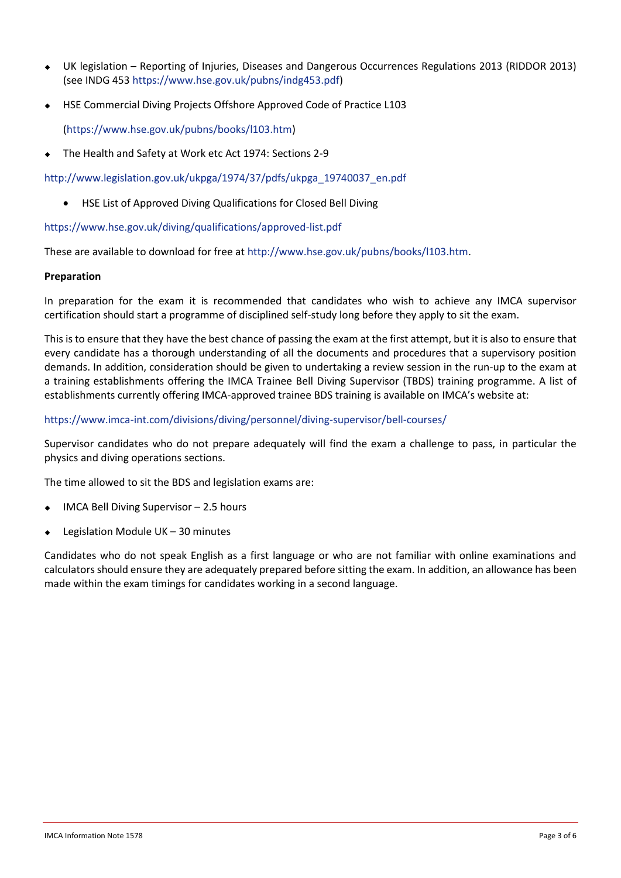- ◆ UK legislation Reporting of Injuries, Diseases and Dangerous Occurrences Regulations 2013 (RIDDOR 2013) (see INDG 453 [https://www.hse.gov.uk/pubns/indg453.pdf\)](https://www.hse.gov.uk/pubns/indg453.pdf)
- ◆ HSE Commercial Diving Projects Offshore Approved Code of Practice L103

[\(https://www.hse.gov.uk/pubns/books/l103.htm\)](https://www.hse.gov.uk/pubns/books/l103.htm)

The Health and Safety at Work etc Act 1974: Sections 2-9

[http://www.legislation.gov.uk/ukpga/1974/37/pdfs/ukpga\\_19740037\\_en.pdf](http://www.legislation.gov.uk/ukpga/1974/37/pdfs/ukpga_19740037_en.pdf)

• HSE List of Approved Diving Qualifications for Closed Bell Diving

<https://www.hse.gov.uk/diving/qualifications/approved-list.pdf>

These are available to download for free at [http://www.hse.gov.uk/pubns/books/l103.htm.](http://www.hse.gov.uk/pubns/books/l103.htm)

## **Preparation**

In preparation for the exam it is recommended that candidates who wish to achieve any IMCA supervisor certification should start a programme of disciplined self-study long before they apply to sit the exam.

This is to ensure that they have the best chance of passing the exam at the first attempt, but it is also to ensure that every candidate has a thorough understanding of all the documents and procedures that a supervisory position demands. In addition, consideration should be given to undertaking a review session in the run-up to the exam at a training establishments offering the IMCA Trainee Bell Diving Supervisor (TBDS) training programme. A list of establishments currently offering IMCA-approved trainee BDS training is available on IMCA's website at:

## <https://www.imca-int.com/divisions/diving/personnel/diving-supervisor/bell-courses/>

Supervisor candidates who do not prepare adequately will find the exam a challenge to pass, in particular the physics and diving operations sections.

The time allowed to sit the BDS and legislation exams are:

- IMCA Bell Diving Supervisor  $-2.5$  hours
- Legislation Module UK  $-$  30 minutes

Candidates who do not speak English as a first language or who are not familiar with online examinations and calculators should ensure they are adequately prepared before sitting the exam. In addition, an allowance has been made within the exam timings for candidates working in a second language.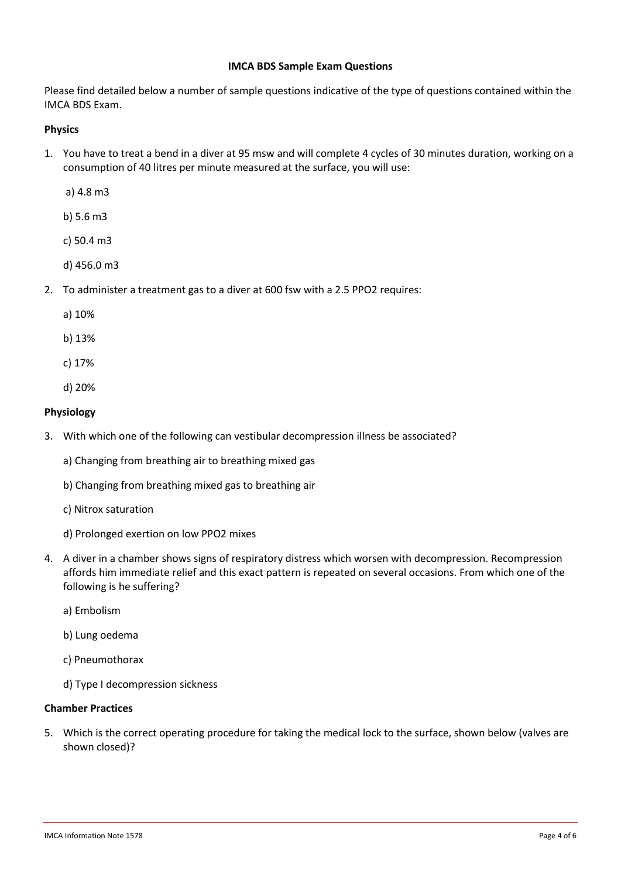## **IMCA BDS Sample Exam Questions**

Please find detailed below a number of sample questions indicative of the type of questions contained within the IMCA BDS Exam.

## **Physics**

1. You have to treat a bend in a diver at 95 msw and will complete 4 cycles of 30 minutes duration, working on a consumption of 40 litres per minute measured at the surface, you will use:

a) 4.8 m3

b) 5.6 m3

c) 50.4 m3

d) 456.0 m3

- 2. To administer a treatment gas to a diver at 600 fsw with a 2.5 PPO2 requires:
	- a) 10%
	- b) 13%
	- c) 17%
	- d) 20%

# **Physiology**

- 3. With which one of the following can vestibular decompression illness be associated?
	- a) Changing from breathing air to breathing mixed gas
	- b) Changing from breathing mixed gas to breathing air
	- c) Nitrox saturation
	- d) Prolonged exertion on low PPO2 mixes
- 4. A diver in a chamber shows signs of respiratory distress which worsen with decompression. Recompression affords him immediate relief and this exact pattern is repeated on several occasions. From which one of the following is he suffering?
	- a) Embolism
	- b) Lung oedema
	- c) Pneumothorax
	- d) Type I decompression sickness

# **Chamber Practices**

5. Which is the correct operating procedure for taking the medical lock to the surface, shown below (valves are shown closed)?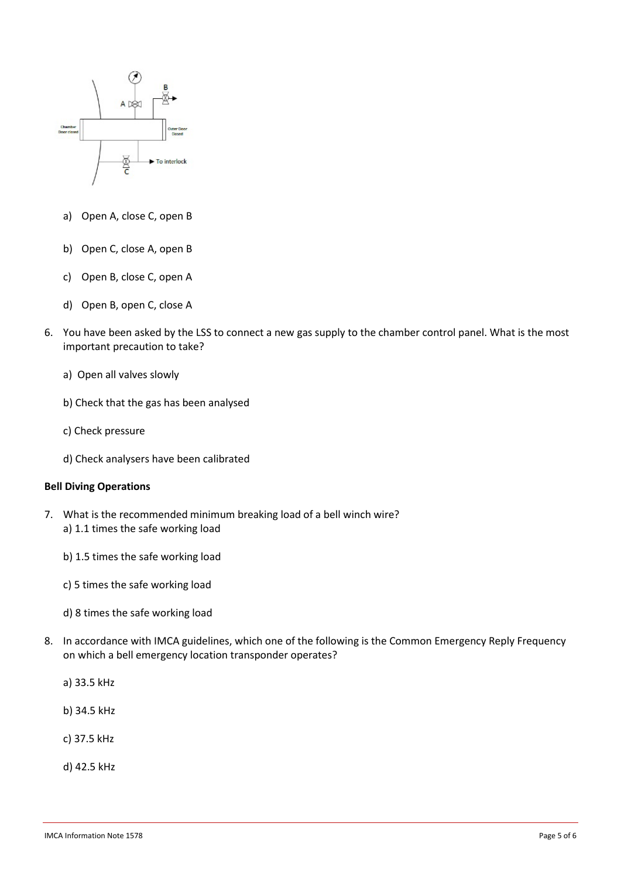

- a) Open A, close C, open B
- b) Open C, close A, open B
- c) Open B, close C, open A
- d) Open B, open C, close A
- 6. You have been asked by the LSS to connect a new gas supply to the chamber control panel. What is the most important precaution to take?
	- a) Open all valves slowly
	- b) Check that the gas has been analysed
	- c) Check pressure
	- d) Check analysers have been calibrated

## **Bell Diving Operations**

- 7. What is the recommended minimum breaking load of a bell winch wire? a) 1.1 times the safe working load
	- b) 1.5 times the safe working load
	- c) 5 times the safe working load
	- d) 8 times the safe working load
- 8. In accordance with IMCA guidelines, which one of the following is the Common Emergency Reply Frequency on which a bell emergency location transponder operates?
	- a) 33.5 kHz
	- b) 34.5 kHz
	- c) 37.5 kHz
	- d) 42.5 kHz